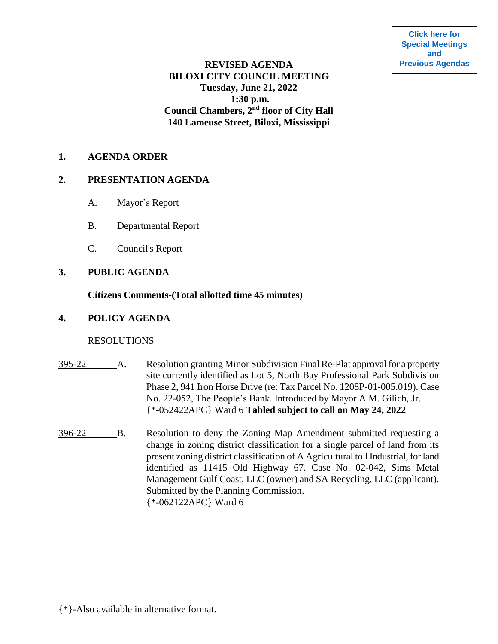# **REVISED AGENDA BILOXI CITY COUNCIL MEETING Tuesday, June 21, 2022 1:30 p.m. Council Chambers, 2nd floor of City Hall 140 Lameuse Street, Biloxi, Mississippi**

#### **1. AGENDA ORDER**

#### **2. PRESENTATION AGENDA**

- A. Mayor's Report
- B. Departmental Report
- C. Council's Report

## **3. PUBLIC AGENDA**

#### **Citizens Comments-(Total allotted time 45 minutes)**

## **4. POLICY AGENDA**

#### RESOLUTIONS

- 395-22 A. Resolution granting Minor Subdivision Final Re-Plat approval for a property site currently identified as Lot 5, North Bay Professional Park Subdivision Phase 2, 941 Iron Horse Drive (re: Tax Parcel No. 1208P-01-005.019). Case No. 22-052, The People's Bank. Introduced by Mayor A.M. Gilich, Jr. {\*-052422APC} Ward 6 **Tabled subject to call on May 24, 2022**
- 396-22 B. Resolution to deny the Zoning Map Amendment submitted requesting a change in zoning district classification for a single parcel of land from its present zoning district classification of A Agricultural to I Industrial, for land identified as 11415 Old Highway 67. Case No. 02-042, Sims Metal Management Gulf Coast, LLC (owner) and SA Recycling, LLC (applicant). Submitted by the Planning Commission. {\*-062122APC} Ward 6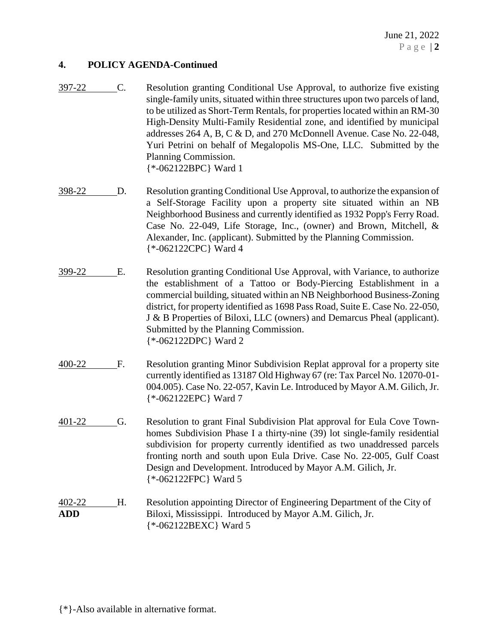## **4. POLICY AGENDA-Continued**

- 397-22 C. Resolution granting Conditional Use Approval, to authorize five existing single-family units, situated within three structures upon two parcels of land, to be utilized as Short-Term Rentals, for properties located within an RM-30 High-Density Multi-Family Residential zone, and identified by municipal addresses 264 A, B, C & D, and 270 McDonnell Avenue. Case No. 22-048, Yuri Petrini on behalf of Megalopolis MS-One, LLC. Submitted by the Planning Commission. {\*-062122BPC} Ward 1
- 398-22 D. Resolution granting Conditional Use Approval, to authorize the expansion of a Self-Storage Facility upon a property site situated within an NB Neighborhood Business and currently identified as 1932 Popp's Ferry Road. Case No. 22-049, Life Storage, Inc., (owner) and Brown, Mitchell, & Alexander, Inc. (applicant). Submitted by the Planning Commission. {\*-062122CPC} Ward 4
- 399-22 E. Resolution granting Conditional Use Approval, with Variance, to authorize the establishment of a Tattoo or Body-Piercing Establishment in a commercial building, situated within an NB Neighborhood Business-Zoning district, for property identified as 1698 Pass Road, Suite E. Case No. 22-050, J & B Properties of Biloxi, LLC (owners) and Demarcus Pheal (applicant). Submitted by the Planning Commission. {\*-062122DPC} Ward 2
- 400-22 F. Resolution granting Minor Subdivision Replat approval for a property site currently identified as 13187 Old Highway 67 (re: Tax Parcel No. 12070-01- 004.005). Case No. 22-057, Kavin Le. Introduced by Mayor A.M. Gilich, Jr. {\*-062122EPC} Ward 7
- 401-22 G. Resolution to grant Final Subdivision Plat approval for Eula Cove Townhomes Subdivision Phase I a thirty-nine (39) lot single-family residential subdivision for property currently identified as two unaddressed parcels fronting north and south upon Eula Drive. Case No. 22-005, Gulf Coast Design and Development. Introduced by Mayor A.M. Gilich, Jr. {\*-062122FPC} Ward 5

# 402-22 H. Resolution appointing Director of Engineering Department of the City of **ADD** Biloxi, Mississippi. Introduced by Mayor A.M. Gilich, Jr. {\*-062122BEXC} Ward 5

{\*}-Also available in alternative format.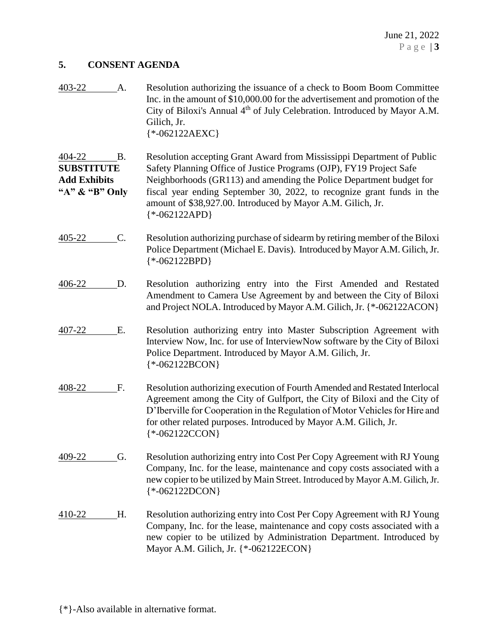## **5. CONSENT AGENDA**

| 403-22 | A. | Resolution authorizing the issuance of a check to Boom Boom Committee                 |
|--------|----|---------------------------------------------------------------------------------------|
|        |    | Inc. in the amount of \$10,000.00 for the advertisement and promotion of the          |
|        |    | City of Biloxi's Annual 4 <sup>th</sup> of July Celebration. Introduced by Mayor A.M. |
|        |    | Gilich, Jr.                                                                           |
|        |    | $*$ -062122AEXC}                                                                      |

404-22 B. Resolution accepting Grant Award from Mississippi Department of Public **SUBSTITUTE** Safety Planning Office of Justice Programs (OJP), FY19 Project Safe **Add Exhibits** Neighborhoods (GR113) and amending the Police Department budget for **"A" & "B" Only** fiscal year ending September 30, 2022, to recognize grant funds in the amount of \$38,927.00. Introduced by Mayor A.M. Gilich, Jr. {\*-062122APD}

- 405-22 C. Resolution authorizing purchase of sidearm by retiring member of the Biloxi Police Department (Michael E. Davis). Introduced by Mayor A.M. Gilich, Jr. {\*-062122BPD}
- 406-22 D. Resolution authorizing entry into the First Amended and Restated Amendment to Camera Use Agreement by and between the City of Biloxi and Project NOLA. Introduced by Mayor A.M. Gilich, Jr. {\*-062122ACON}
- 407-22 E. Resolution authorizing entry into Master Subscription Agreement with Interview Now, Inc. for use of InterviewNow software by the City of Biloxi Police Department. Introduced by Mayor A.M. Gilich, Jr. {\*-062122BCON}
- 408-22 F. Resolution authorizing execution of Fourth Amended and Restated Interlocal Agreement among the City of Gulfport, the City of Biloxi and the City of D'Iberville for Cooperation in the Regulation of Motor Vehicles for Hire and for other related purposes. Introduced by Mayor A.M. Gilich, Jr. {\*-062122CCON}
- 409-22 G. Resolution authorizing entry into Cost Per Copy Agreement with RJ Young Company, Inc. for the lease, maintenance and copy costs associated with a new copier to be utilized by Main Street. Introduced by Mayor A.M. Gilich, Jr. {\*-062122DCON}
- 410-22 H. Resolution authorizing entry into Cost Per Copy Agreement with RJ Young Company, Inc. for the lease, maintenance and copy costs associated with a new copier to be utilized by Administration Department. Introduced by Mayor A.M. Gilich, Jr. {\*-062122ECON}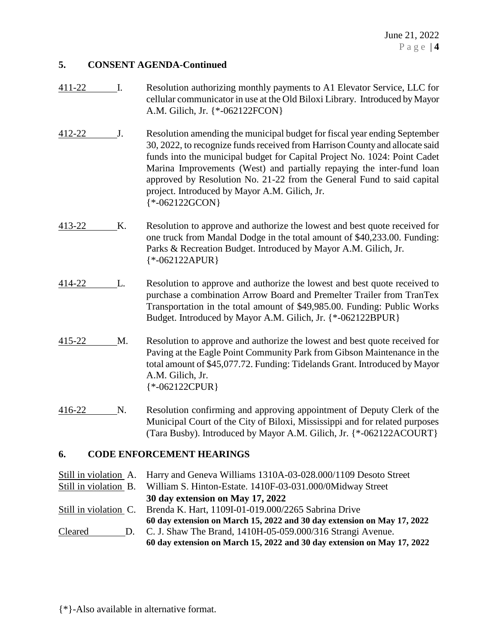## **5. CONSENT AGENDA-Continued**

- 411-22 I. Resolution authorizing monthly payments to A1 Elevator Service, LLC for cellular communicator in use at the Old Biloxi Library. Introduced by Mayor A.M. Gilich, Jr. {\*-062122FCON}
- 412-22 J. Resolution amending the municipal budget for fiscal year ending September 30, 2022, to recognize funds received from Harrison County and allocate said funds into the municipal budget for Capital Project No. 1024: Point Cadet Marina Improvements (West) and partially repaying the inter-fund loan approved by Resolution No. 21-22 from the General Fund to said capital project. Introduced by Mayor A.M. Gilich, Jr. {\*-062122GCON}
- 413-22 K. Resolution to approve and authorize the lowest and best quote received for one truck from Mandal Dodge in the total amount of \$40,233.00. Funding: Parks & Recreation Budget. Introduced by Mayor A.M. Gilich, Jr. {\*-062122APUR}
- 414-22 L. Resolution to approve and authorize the lowest and best quote received to purchase a combination Arrow Board and Premelter Trailer from TranTex Transportation in the total amount of \$49,985.00. Funding: Public Works Budget. Introduced by Mayor A.M. Gilich, Jr. {\*-062122BPUR}
- 415-22 M. Resolution to approve and authorize the lowest and best quote received for Paving at the Eagle Point Community Park from Gibson Maintenance in the total amount of \$45,077.72. Funding: Tidelands Grant. Introduced by Mayor A.M. Gilich, Jr. {\*-062122CPUR}
- 416-22 N. Resolution confirming and approving appointment of Deputy Clerk of the Municipal Court of the City of Biloxi, Mississippi and for related purposes (Tara Busby). Introduced by Mayor A.M. Gilich, Jr. {\*-062122ACOURT}

# **6. CODE ENFORCEMENT HEARINGS**

Still in violation A. Harry and Geneva Williams 1310A-03-028.000/1109 Desoto Street Still in violation B. William S. Hinton-Estate. 1410F-03-031.000/0Midway Street **30 day extension on May 17, 2022** Still in violation C. Brenda K. Hart, 1109I-01-019.000/2265 Sabrina Drive **60 day extension on March 15, 2022 and 30 day extension on May 17, 2022** Cleared D. C. J. Shaw The Brand, 1410H-05-059.000/316 Strangi Avenue. **60 day extension on March 15, 2022 and 30 day extension on May 17, 2022**

{\*}-Also available in alternative format.